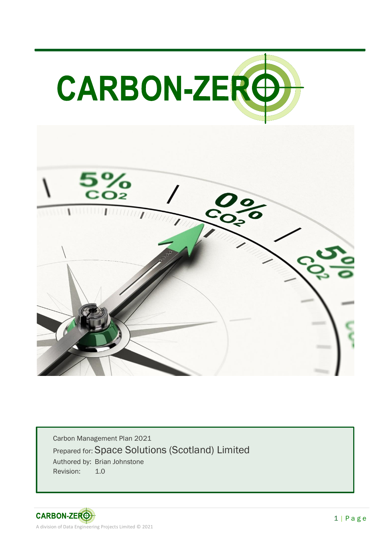

Carbon Management Plan 2021 Prepared for: Space Solutions (Scotland) Limited Authored by: Brian Johnstone Revision: 1.0

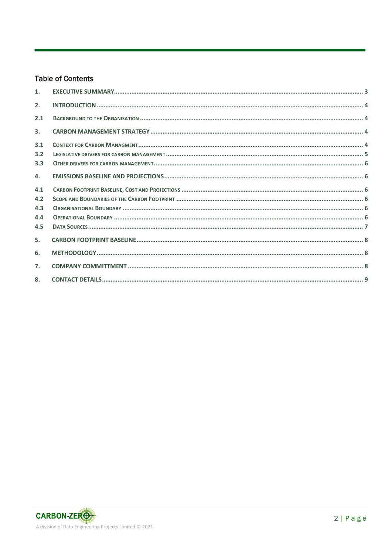#### **Table of Contents**

| 1.  |  |
|-----|--|
| 2.  |  |
| 2.1 |  |
| 3.  |  |
| 3.1 |  |
| 3.2 |  |
| 3.3 |  |
| 4.  |  |
| 4.1 |  |
| 4.2 |  |
| 4.3 |  |
| 4.4 |  |
| 4.5 |  |
| 5.  |  |
| 6.  |  |
| 7.  |  |
| 8.  |  |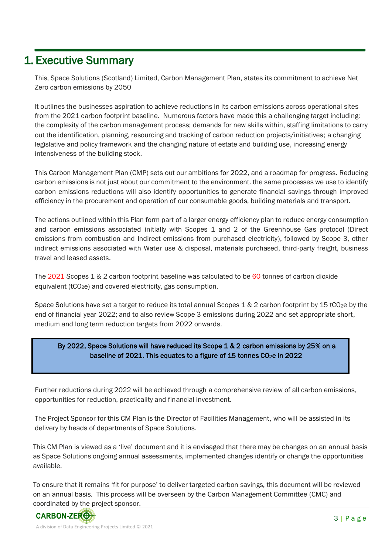### 1. Executive Summary

This, Space Solutions (Scotland) Limited, Carbon Management Plan, states its commitment to achieve Net Zero carbon emissions by 2050

It outlines the businesses aspiration to achieve reductions in its carbon emissions across operational sites from the 2021 carbon footprint baseline. Numerous factors have made this a challenging target including: the complexity of the carbon management process; demands for new skills within, staffing limitations to carry out the identification, planning, resourcing and tracking of carbon reduction projects/initiatives; a changing legislative and policy framework and the changing nature of estate and building use, increasing energy intensiveness of the building stock.

This Carbon Management Plan (CMP) sets out our ambitions for 2022, and a roadmap for progress. Reducing carbon emissions is not just about our commitment to the environment. the same processes we use to identify carbon emissions reductions will also identify opportunities to generate financial savings through improved efficiency in the procurement and operation of our consumable goods, building materials and transport.

The actions outlined within this Plan form part of a larger energy efficiency plan to reduce energy consumption and carbon emissions associated initially with Scopes 1 and 2 of the Greenhouse Gas protocol (Direct emissions from combustion and Indirect emissions from purchased electricity), followed by Scope 3, other indirect emissions associated with Water use & disposal, materials purchased, third-party freight, business travel and leased assets.

The 2021 Scopes 1 & 2 carbon footprint baseline was calculated to be 60 tonnes of carbon dioxide equivalent (tCO2e) and covered electricity, gas consumption.

Space Solutions have set a target to reduce its total annual Scopes  $1 \& 2$  carbon footprint by 15 tCO<sub>2</sub>e by the end of financial year 2022; and to also review Scope 3 emissions during 2022 and set appropriate short, medium and long term reduction targets from 2022 onwards.

#### By 2022, Space Solutions will have reduced its Scope 1 & 2 carbon emissions by 25% on a baseline of 2021. This equates to a figure of 15 tonnes CO<sub>2</sub>e in 2022

Further reductions during 2022 will be achieved through a comprehensive review of all carbon emissions, opportunities for reduction, practicality and financial investment.

The Project Sponsor for this CM Plan is the Director of Facilities Management, who will be assisted in its delivery by heads of departments of Space Solutions.

This CM Plan is viewed as a 'live' document and it is envisaged that there may be changes on an annual basis as Space Solutions ongoing annual assessments, implemented changes identify or change the opportunities available.

To ensure that it remains 'fit for purpose' to deliver targeted carbon savings, this document will be reviewed on an annual basis. This process will be overseen by the Carbon Management Committee (CMC) and coordinated by the project sponsor.

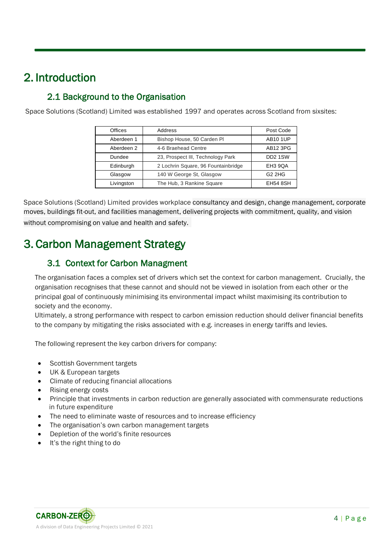# 2. Introduction

### 2.1 Background to the Organisation

Space Solutions (Scotland) Limited was established 1997 and operates across Scotland from sixsites:

| Offices    | Address                             | Post Code           |  |  |
|------------|-------------------------------------|---------------------|--|--|
| Aberdeen 1 | Bishop House, 50 Carden Pl          | <b>AB10 1UP</b>     |  |  |
| Aberdeen 2 | 4-6 Braehead Centre                 | AB12 3PG            |  |  |
| Dundee     | 23, Prospect III, Technology Park   | DD <sub>2</sub> 1SW |  |  |
| Edinburgh  | 2 Lochrin Square, 96 Fountainbridge | EH <sub>3</sub> 9QA |  |  |
| Glasgow    | 140 W George St, Glasgow            | $G2$ 2HG            |  |  |
| Livingston | The Hub, 3 Rankine Square           | <b>EH54 8SH</b>     |  |  |

Space Solutions (Scotland) Limited provides workplace consultancy and design, change management, corporate moves, buildings fit-out, and facilities management, delivering projects with commitment, quality, and vision without compromising on value and health and safety.

## 3. Carbon Management Strategy

### 3.1 Context for Carbon Managment

The organisation faces a complex set of drivers which set the context for carbon management. Crucially, the organisation recognises that these cannot and should not be viewed in isolation from each other or the principal goal of continuously minimising its environmental impact whilst maximising its contribution to society and the economy.

Ultimately, a strong performance with respect to carbon emission reduction should deliver financial benefits to the company by mitigating the risks associated with e.g. increases in energy tariffs and levies.

The following represent the key carbon drivers for company:

- Scottish Government targets
- UK & European targets
- Climate of reducing financial allocations
- Rising energy costs
- Principle that investments in carbon reduction are generally associated with commensurate reductions in future expenditure
- The need to eliminate waste of resources and to increase efficiency
- The organisation's own carbon management targets
- Depletion of the world's finite resources
- It's the right thing to do

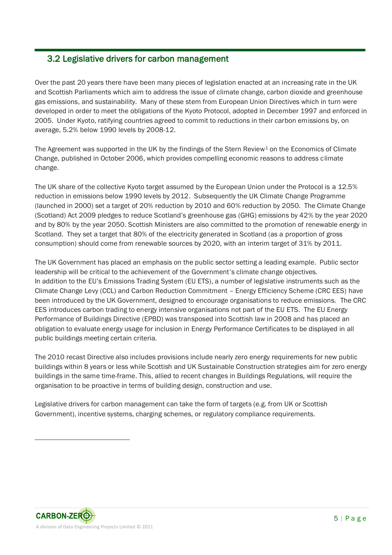#### 3.2 Legislative drivers for carbon management

Over the past 20 years there have been many pieces of legislation enacted at an increasing rate in the UK and Scottish Parliaments which aim to address the issue of climate change, carbon dioxide and greenhouse gas emissions, and sustainability. Many of these stem from European Union Directives which in turn were developed in order to meet the obligations of the Kyoto Protocol, adopted in December 1997 and enforced in 2005. Under Kyoto, ratifying countries agreed to commit to reductions in their carbon emissions by, on average, 5.2% below 1990 levels by 2008-12.

The Agreement was supported in the UK by the findings of the Stern Review<sup>1</sup> on the Economics of Climate Change, published in October 2006, which provides compelling economic reasons to address climate change.

The UK share of the collective Kyoto target assumed by the European Union under the Protocol is a 12.5% reduction in emissions below 1990 levels by 2012. Subsequently the UK Climate Change Programme (launched in 2000) set a target of 20% reduction by 2010 and 60% reduction by 2050. The Climate Change (Scotland) Act 2009 pledges to reduce Scotland's greenhouse gas (GHG) emissions by 42% by the year 2020 and by 80% by the year 2050. Scottish Ministers are also committed to the promotion of renewable energy in Scotland. They set a target that 80% of the electricity generated in Scotland (as a proportion of gross consumption) should come from renewable sources by 2020, with an interim target of 31% by 2011.

The UK Government has placed an emphasis on the public sector setting a leading example. Public sector leadership will be critical to the achievement of the Government's climate change objectives. In addition to the EU's Emissions Trading System (EU ETS), a number of legislative instruments such as the Climate Change Levy (CCL) and Carbon Reduction Commitment – Energy Efficiency Scheme (CRC EES) have been introduced by the UK Government, designed to encourage organisations to reduce emissions. The CRC EES introduces carbon trading to energy intensive organisations not part of the EU ETS. The EU Energy Performance of Buildings Directive (EPBD) was transposed into Scottish law in 2008 and has placed an obligation to evaluate energy usage for inclusion in Energy Performance Certificates to be displayed in all public buildings meeting certain criteria.

The 2010 recast Directive also includes provisions include nearly zero energy requirements for new public buildings within 8 years or less while Scottish and UK Sustainable Construction strategies aim for zero energy buildings in the same time-frame. This, allied to recent changes in Buildings Regulations, will require the organisation to be proactive in terms of building design, construction and use.

Legislative drivers for carbon management can take the form of targets (e.g. from UK or Scottish Government), incentive systems, charging schemes, or regulatory compliance requirements.

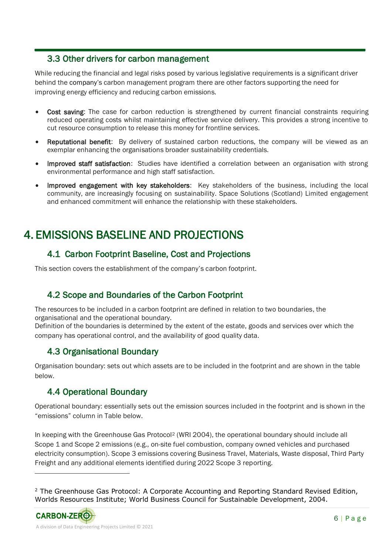#### 3.3 Other drivers for carbon management

While reducing the financial and legal risks posed by various legislative requirements is a significant driver behind the company's carbon management program there are other factors supporting the need for improving energy efficiency and reducing carbon emissions.

- Cost saving: The case for carbon reduction is strengthened by current financial constraints requiring reduced operating costs whilst maintaining effective service delivery. This provides a strong incentive to cut resource consumption to release this money for frontline services.
- **Reputational benefit:** By delivery of sustained carbon reductions, the company will be viewed as an exemplar enhancing the organisations broader sustainability credentials.
- Improved staff satisfaction: Studies have identified a correlation between an organisation with strong environmental performance and high staff satisfaction.
- Improved engagement with key stakeholders: Key stakeholders of the business, including the local community, are increasingly focusing on sustainability. Space Solutions (Scotland) Limited engagement and enhanced commitment will enhance the relationship with these stakeholders.

## 4. EMISSIONS BASELINE AND PROJECTIONS

### 4.1 Carbon Footprint Baseline, Cost and Projections

This section covers the establishment of the company's carbon footprint.

### 4.2 Scope and Boundaries of the Carbon Footprint

The resources to be included in a carbon footprint are defined in relation to two boundaries, the organisational and the operational boundary.

Definition of the boundaries is determined by the extent of the estate, goods and services over which the company has operational control, and the availability of good quality data.

### 4.3 Organisational Boundary

Organisation boundary: sets out which assets are to be included in the footprint and are shown in the table below.

### 4.4 Operational Boundary

Operational boundary: essentially sets out the emission sources included in the footprint and is shown in the "emissions" column in Table below.

In keeping with the Greenhouse Gas Protocol<sup>2</sup> (WRI 2004), the operational boundary should include all Scope 1 and Scope 2 emissions (e.g., on-site fuel combustion, company owned vehicles and purchased electricity consumption). Scope 3 emissions covering Business Travel, Materials, Waste disposal, Third Party Freight and any additional elements identified during 2022 Scope 3 reporting.

 $2$  The Greenhouse Gas Protocol: A Corporate Accounting and Reporting Standard Revised Edition, Worlds Resources Institute; World Business Council for Sustainable Development, 2004.

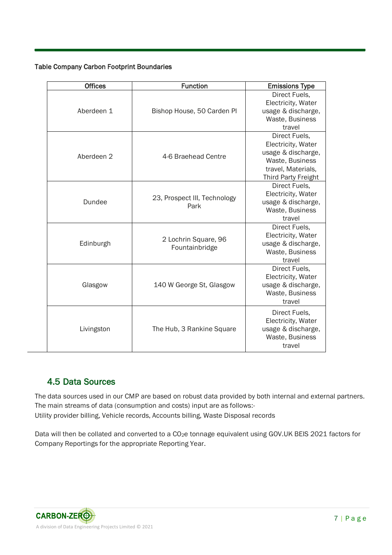#### Table Company Carbon Footprint Boundaries

| <b>Offices</b> | <b>Function</b>                        | <b>Emissions Type</b>                                                                                                            |
|----------------|----------------------------------------|----------------------------------------------------------------------------------------------------------------------------------|
| Aberdeen 1     | Bishop House, 50 Carden Pl             | Direct Fuels,<br>Electricity, Water<br>usage & discharge,<br>Waste, Business<br>travel                                           |
| Aberdeen 2     | 4-6 Braehead Centre                    | Direct Fuels,<br>Electricity, Water<br>usage & discharge,<br>Waste, Business<br>travel, Materials,<br><b>Third Party Freight</b> |
| Dundee         | 23, Prospect III, Technology<br>Park   | Direct Fuels.<br>Electricity, Water<br>usage & discharge,<br>Waste, Business<br>travel                                           |
| Edinburgh      | 2 Lochrin Square, 96<br>Fountainbridge | Direct Fuels,<br>Electricity, Water<br>usage & discharge,<br>Waste, Business<br>travel                                           |
| Glasgow        | 140 W George St, Glasgow               | Direct Fuels,<br>Electricity, Water<br>usage & discharge,<br>Waste, Business<br>travel                                           |
| Livingston     | The Hub, 3 Rankine Square              | Direct Fuels,<br>Electricity, Water<br>usage & discharge,<br>Waste, Business<br>travel                                           |

### 4.5 Data Sources

The data sources used in our CMP are based on robust data provided by both internal and external partners. The main streams of data (consumption and costs) input are as follows:- Utility provider billing, Vehicle records, Accounts billing, Waste Disposal records

Data will then be collated and converted to a CO<sub>2</sub>e tonnage equivalent using GOV.UK BEIS 2021 factors for Company Reportings for the appropriate Reporting Year.

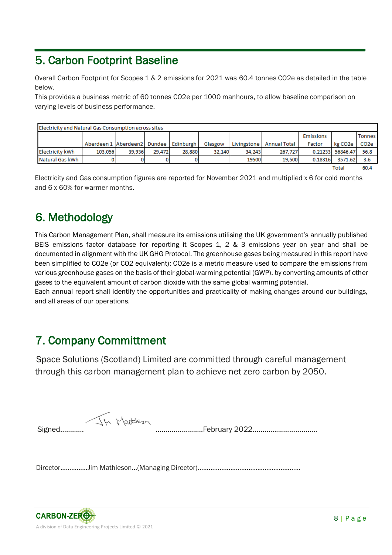# 5. Carbon Footprint Baseline

Overall Carbon Footprint for Scopes 1 & 2 emissions for 2021 was 60.4 tonnes CO2e as detailed in the table below.

This provides a business metric of 60 tonnes CO2e per 1000 manhours, to allow baseline comparison on varying levels of business performance.

| Electricity and Natural Gas Consumption across sites |                                |        |        |           |         |             |                     |                  |          |                   |
|------------------------------------------------------|--------------------------------|--------|--------|-----------|---------|-------------|---------------------|------------------|----------|-------------------|
|                                                      |                                |        |        |           |         |             |                     | <b>Emissions</b> |          | <b>Tonnes</b>     |
|                                                      | Aberdeen 1 Aberdeen 2   Dundee |        |        | Edinburgh | Glasgow | Livingstone | <b>Annual Total</b> | Factor           | kg CO2e  | CO <sub>2</sub> e |
| Electricity kWh                                      | 103.056                        | 39.936 | 29.472 | 28,880    | 32.140  | 34.243      | 267.727             | 0.21233          | 56846.47 | 56.8              |
| Natural Gas kWh                                      |                                |        |        |           |         | 19500       | 19,500              | 0.18316          | 3571.62  | 3.6               |
|                                                      |                                |        |        |           |         |             |                     |                  | Total    | 60.4              |

60.4

Electricity and Gas consumption figures are reported for November 2021 and multiplied x 6 for cold months and 6 x 60% for warmer months.

### 6. Methodology

This Carbon Management Plan, shall measure its emissions utilising the UK government's annually published BEIS emissions factor database for reporting it Scopes 1, 2 & 3 emissions year on year and shall be documented in alignment with the UK GHG Protocol. The greenhouse gases being measured in this report have been simplified to CO2e (or CO2 equivalent); CO2e is a metric measure used to compare the emissions from various greenhouse gases on the basis of their global-warming potential (GWP), by converting amounts of other gases to the equivalent amount of carbon dioxide with the same global warming potential.

Each annual report shall identify the opportunities and practicality of making changes around our buildings, and all areas of our operations.

### 7. Company Committment

 Space Solutions (Scotland) Limited are committed through careful management through this carbon management plan to achieve net zero carbon by 2050.

Signed………… ……………………February 2022……………………………

Director……………Jim Mathieson…(Managing Director)…………………………………………………